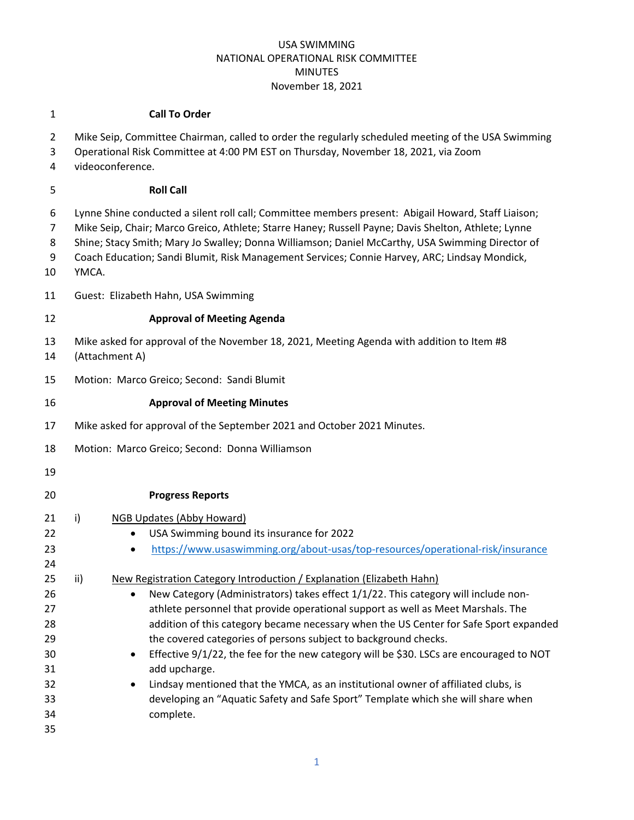#### **Call To Order**

| $\overline{2}$<br>3<br>4 | Mike Seip, Committee Chairman, called to order the regularly scheduled meeting of the USA Swimming<br>Operational Risk Committee at 4:00 PM EST on Thursday, November 18, 2021, via Zoom<br>videoconference.                                                                                                                                                                                                             |  |
|--------------------------|--------------------------------------------------------------------------------------------------------------------------------------------------------------------------------------------------------------------------------------------------------------------------------------------------------------------------------------------------------------------------------------------------------------------------|--|
| 5                        | <b>Roll Call</b>                                                                                                                                                                                                                                                                                                                                                                                                         |  |
| 6<br>7<br>8<br>9<br>10   | Lynne Shine conducted a silent roll call; Committee members present: Abigail Howard, Staff Liaison;<br>Mike Seip, Chair; Marco Greico, Athlete; Starre Haney; Russell Payne; Davis Shelton, Athlete; Lynne<br>Shine; Stacy Smith; Mary Jo Swalley; Donna Williamson; Daniel McCarthy, USA Swimming Director of<br>Coach Education; Sandi Blumit, Risk Management Services; Connie Harvey, ARC; Lindsay Mondick,<br>YMCA. |  |
| 11                       | Guest: Elizabeth Hahn, USA Swimming                                                                                                                                                                                                                                                                                                                                                                                      |  |
| 12                       | <b>Approval of Meeting Agenda</b>                                                                                                                                                                                                                                                                                                                                                                                        |  |
| 13<br>14                 | Mike asked for approval of the November 18, 2021, Meeting Agenda with addition to Item #8<br>(Attachment A)                                                                                                                                                                                                                                                                                                              |  |
| 15                       | Motion: Marco Greico; Second: Sandi Blumit                                                                                                                                                                                                                                                                                                                                                                               |  |
| 16                       | <b>Approval of Meeting Minutes</b>                                                                                                                                                                                                                                                                                                                                                                                       |  |
| 17                       | Mike asked for approval of the September 2021 and October 2021 Minutes.                                                                                                                                                                                                                                                                                                                                                  |  |
| 18                       | Motion: Marco Greico; Second: Donna Williamson                                                                                                                                                                                                                                                                                                                                                                           |  |
| 19                       |                                                                                                                                                                                                                                                                                                                                                                                                                          |  |
| 20                       | <b>Progress Reports</b>                                                                                                                                                                                                                                                                                                                                                                                                  |  |
| 21                       | $\mathsf{i}$<br>NGB Updates (Abby Howard)                                                                                                                                                                                                                                                                                                                                                                                |  |
| 22                       | USA Swimming bound its insurance for 2022<br>$\bullet$                                                                                                                                                                                                                                                                                                                                                                   |  |
| 23                       | https://www.usaswimming.org/about-usas/top-resources/operational-risk/insurance<br>$\bullet$                                                                                                                                                                                                                                                                                                                             |  |
| 24                       |                                                                                                                                                                                                                                                                                                                                                                                                                          |  |
| 25                       | New Registration Category Introduction / Explanation (Elizabeth Hahn)<br>ii)                                                                                                                                                                                                                                                                                                                                             |  |
| 26                       | New Category (Administrators) takes effect 1/1/22. This category will include non-<br>$\bullet$                                                                                                                                                                                                                                                                                                                          |  |
| 27                       | athlete personnel that provide operational support as well as Meet Marshals. The                                                                                                                                                                                                                                                                                                                                         |  |
| 28                       | addition of this category became necessary when the US Center for Safe Sport expanded                                                                                                                                                                                                                                                                                                                                    |  |
| 29                       | the covered categories of persons subject to background checks.                                                                                                                                                                                                                                                                                                                                                          |  |
| 30                       | Effective 9/1/22, the fee for the new category will be \$30. LSCs are encouraged to NOT                                                                                                                                                                                                                                                                                                                                  |  |
| 31                       | add upcharge.                                                                                                                                                                                                                                                                                                                                                                                                            |  |
| 32<br>33                 | Lindsay mentioned that the YMCA, as an institutional owner of affiliated clubs, is<br>developing an "Aquatic Safety and Safe Sport" Template which she will share when                                                                                                                                                                                                                                                   |  |
| 34                       | complete.                                                                                                                                                                                                                                                                                                                                                                                                                |  |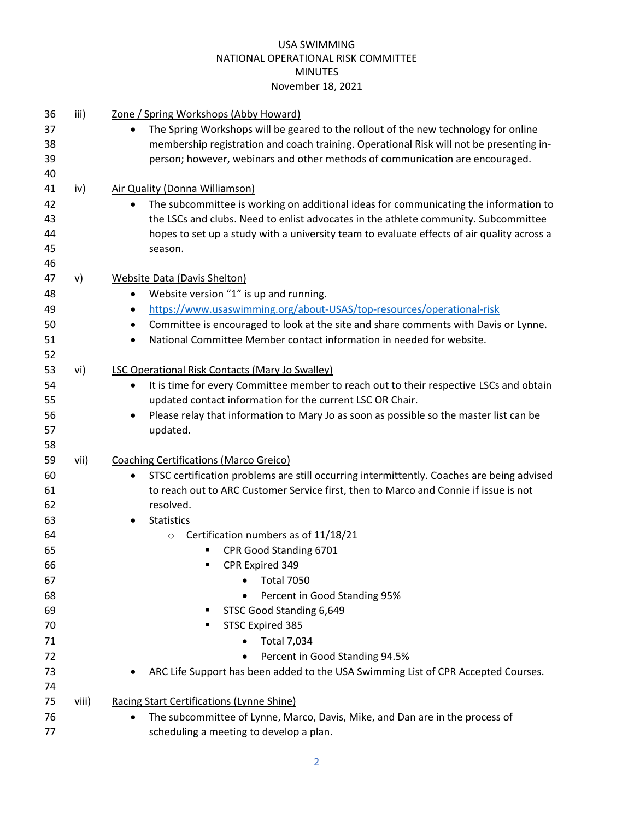| 36 | iii)  | <u>Zone / Spring Workshops (Abby Howard)</u>                                                           |
|----|-------|--------------------------------------------------------------------------------------------------------|
| 37 |       | The Spring Workshops will be geared to the rollout of the new technology for online<br>$\bullet$       |
| 38 |       | membership registration and coach training. Operational Risk will not be presenting in-                |
| 39 |       | person; however, webinars and other methods of communication are encouraged.                           |
| 40 |       |                                                                                                        |
| 41 | iv)   | Air Quality (Donna Williamson)                                                                         |
| 42 |       | The subcommittee is working on additional ideas for communicating the information to<br>$\bullet$      |
| 43 |       | the LSCs and clubs. Need to enlist advocates in the athlete community. Subcommittee                    |
| 44 |       | hopes to set up a study with a university team to evaluate effects of air quality across a             |
| 45 |       | season.                                                                                                |
| 46 |       |                                                                                                        |
| 47 | v)    | Website Data (Davis Shelton)                                                                           |
| 48 |       | Website version "1" is up and running.<br>$\bullet$                                                    |
| 49 |       | https://www.usaswimming.org/about-USAS/top-resources/operational-risk<br>$\bullet$                     |
| 50 |       | Committee is encouraged to look at the site and share comments with Davis or Lynne.<br>٠               |
| 51 |       | National Committee Member contact information in needed for website.<br>$\bullet$                      |
| 52 |       |                                                                                                        |
| 53 | vi)   | <b>LSC Operational Risk Contacts (Mary Jo Swalley)</b>                                                 |
| 54 |       | It is time for every Committee member to reach out to their respective LSCs and obtain<br>$\bullet$    |
| 55 |       | updated contact information for the current LSC OR Chair.                                              |
| 56 |       | Please relay that information to Mary Jo as soon as possible so the master list can be<br>٠            |
| 57 |       | updated.                                                                                               |
| 58 |       |                                                                                                        |
| 59 | vii)  | <b>Coaching Certifications (Marco Greico)</b>                                                          |
| 60 |       | STSC certification problems are still occurring intermittently. Coaches are being advised<br>$\bullet$ |
| 61 |       | to reach out to ARC Customer Service first, then to Marco and Connie if issue is not                   |
| 62 |       | resolved.                                                                                              |
| 63 |       | <b>Statistics</b>                                                                                      |
| 64 |       | Certification numbers as of 11/18/21<br>$\circ$                                                        |
| 65 |       | CPR Good Standing 6701                                                                                 |
| 66 |       | CPR Expired 349<br>п                                                                                   |
| 67 |       | <b>Total 7050</b><br>٠                                                                                 |
| 68 |       | Percent in Good Standing 95%                                                                           |
| 69 |       | STSC Good Standing 6,649                                                                               |
| 70 |       | STSC Expired 385                                                                                       |
| 71 |       | <b>Total 7,034</b>                                                                                     |
| 72 |       | Percent in Good Standing 94.5%<br>$\bullet$                                                            |
| 73 |       | ARC Life Support has been added to the USA Swimming List of CPR Accepted Courses.                      |
| 74 |       |                                                                                                        |
| 75 | viii) | Racing Start Certifications (Lynne Shine)                                                              |
| 76 |       | The subcommittee of Lynne, Marco, Davis, Mike, and Dan are in the process of<br>$\bullet$              |
| 77 |       | scheduling a meeting to develop a plan.                                                                |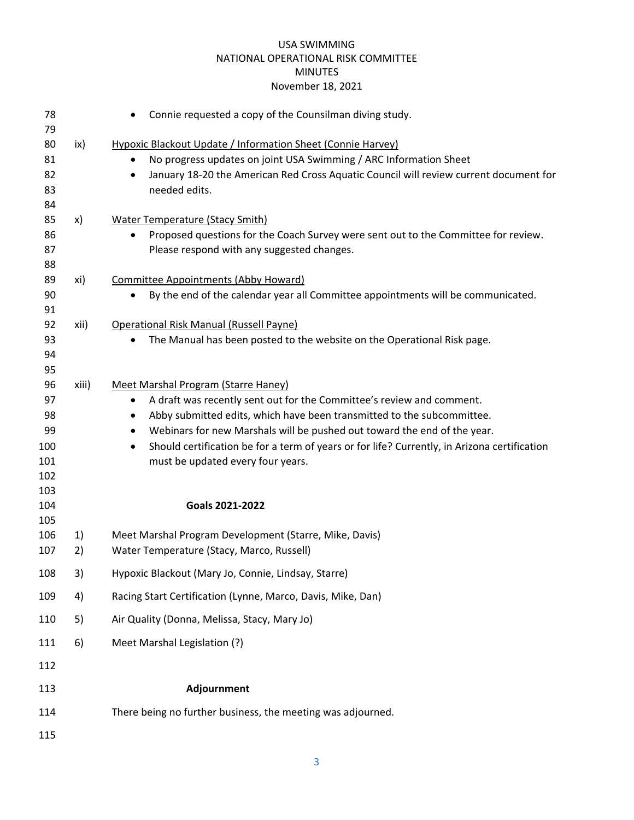| 78<br>79   |       | Connie requested a copy of the Counsilman diving study.<br>$\bullet$                                      |
|------------|-------|-----------------------------------------------------------------------------------------------------------|
| 80         | ix)   | Hypoxic Blackout Update / Information Sheet (Connie Harvey)                                               |
| 81         |       | No progress updates on joint USA Swimming / ARC Information Sheet<br>$\bullet$                            |
| 82         |       | January 18-20 the American Red Cross Aquatic Council will review current document for<br>$\bullet$        |
| 83         |       | needed edits.                                                                                             |
| 84         |       |                                                                                                           |
| 85         | x)    | <b>Water Temperature (Stacy Smith)</b>                                                                    |
| 86         |       | Proposed questions for the Coach Survey were sent out to the Committee for review.                        |
| 87         |       | Please respond with any suggested changes.                                                                |
| 88         |       |                                                                                                           |
| 89         | xi)   | <b>Committee Appointments (Abby Howard)</b>                                                               |
| 90         |       | By the end of the calendar year all Committee appointments will be communicated.<br>$\bullet$             |
| 91         |       |                                                                                                           |
| 92         | xii)  | Operational Risk Manual (Russell Payne)                                                                   |
| 93         |       | The Manual has been posted to the website on the Operational Risk page.<br>$\bullet$                      |
| 94         |       |                                                                                                           |
| 95         |       |                                                                                                           |
| 96         | xiii) | Meet Marshal Program (Starre Haney)                                                                       |
| 97         |       | A draft was recently sent out for the Committee's review and comment.<br>$\bullet$                        |
| 98         |       | Abby submitted edits, which have been transmitted to the subcommittee.<br>$\bullet$                       |
| 99         |       | Webinars for new Marshals will be pushed out toward the end of the year.<br>$\bullet$                     |
| 100        |       | Should certification be for a term of years or for life? Currently, in Arizona certification<br>$\bullet$ |
| 101<br>102 |       | must be updated every four years.                                                                         |
| 103        |       |                                                                                                           |
| 104        |       | Goals 2021-2022                                                                                           |
| 105        |       |                                                                                                           |
| 106        | 1)    | Meet Marshal Program Development (Starre, Mike, Davis)                                                    |
| 107        | 2)    | Water Temperature (Stacy, Marco, Russell)                                                                 |
| 108        | 3)    | Hypoxic Blackout (Mary Jo, Connie, Lindsay, Starre)                                                       |
| 109        | 4)    | Racing Start Certification (Lynne, Marco, Davis, Mike, Dan)                                               |
| 110        | 5)    | Air Quality (Donna, Melissa, Stacy, Mary Jo)                                                              |
| 111        | 6)    | Meet Marshal Legislation (?)                                                                              |
| 112        |       |                                                                                                           |
| 113        |       | Adjournment                                                                                               |
| 114        |       | There being no further business, the meeting was adjourned.                                               |
| 115        |       |                                                                                                           |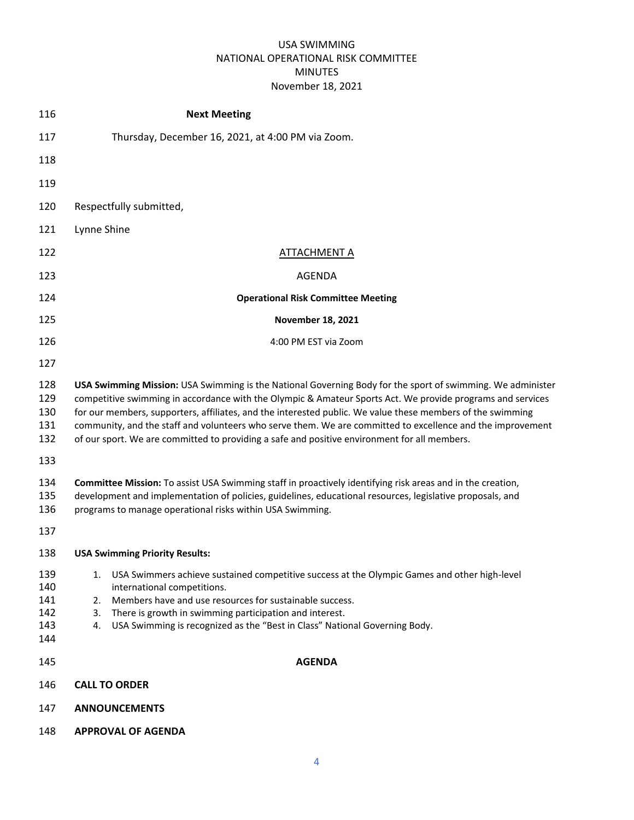| 116                                    | <b>Next Meeting</b>                                                                                                                                                                                                                                                                                                                                                                                                                                                                                                                                  |  |  |
|----------------------------------------|------------------------------------------------------------------------------------------------------------------------------------------------------------------------------------------------------------------------------------------------------------------------------------------------------------------------------------------------------------------------------------------------------------------------------------------------------------------------------------------------------------------------------------------------------|--|--|
| 117                                    | Thursday, December 16, 2021, at 4:00 PM via Zoom.                                                                                                                                                                                                                                                                                                                                                                                                                                                                                                    |  |  |
| 118                                    |                                                                                                                                                                                                                                                                                                                                                                                                                                                                                                                                                      |  |  |
| 119                                    |                                                                                                                                                                                                                                                                                                                                                                                                                                                                                                                                                      |  |  |
| 120                                    | Respectfully submitted,                                                                                                                                                                                                                                                                                                                                                                                                                                                                                                                              |  |  |
| 121                                    | Lynne Shine                                                                                                                                                                                                                                                                                                                                                                                                                                                                                                                                          |  |  |
| 122                                    | <b>ATTACHMENT A</b>                                                                                                                                                                                                                                                                                                                                                                                                                                                                                                                                  |  |  |
| 123                                    | AGENDA                                                                                                                                                                                                                                                                                                                                                                                                                                                                                                                                               |  |  |
| 124                                    | <b>Operational Risk Committee Meeting</b>                                                                                                                                                                                                                                                                                                                                                                                                                                                                                                            |  |  |
| 125                                    | <b>November 18, 2021</b>                                                                                                                                                                                                                                                                                                                                                                                                                                                                                                                             |  |  |
| 126                                    | 4:00 PM EST via Zoom                                                                                                                                                                                                                                                                                                                                                                                                                                                                                                                                 |  |  |
| 127                                    |                                                                                                                                                                                                                                                                                                                                                                                                                                                                                                                                                      |  |  |
| 128<br>129<br>130<br>131<br>132        | USA Swimming Mission: USA Swimming is the National Governing Body for the sport of swimming. We administer<br>competitive swimming in accordance with the Olympic & Amateur Sports Act. We provide programs and services<br>for our members, supporters, affiliates, and the interested public. We value these members of the swimming<br>community, and the staff and volunteers who serve them. We are committed to excellence and the improvement<br>of our sport. We are committed to providing a safe and positive environment for all members. |  |  |
| 133                                    |                                                                                                                                                                                                                                                                                                                                                                                                                                                                                                                                                      |  |  |
| 134<br>135<br>136                      | Committee Mission: To assist USA Swimming staff in proactively identifying risk areas and in the creation,<br>development and implementation of policies, guidelines, educational resources, legislative proposals, and<br>programs to manage operational risks within USA Swimming.                                                                                                                                                                                                                                                                 |  |  |
| 137                                    |                                                                                                                                                                                                                                                                                                                                                                                                                                                                                                                                                      |  |  |
| 138                                    | <b>USA Swimming Priority Results:</b>                                                                                                                                                                                                                                                                                                                                                                                                                                                                                                                |  |  |
| 139<br>140<br>141<br>142<br>143<br>144 | USA Swimmers achieve sustained competitive success at the Olympic Games and other high-level<br>1.<br>international competitions.<br>Members have and use resources for sustainable success.<br>2.<br>There is growth in swimming participation and interest.<br>3.<br>USA Swimming is recognized as the "Best in Class" National Governing Body.<br>4.                                                                                                                                                                                              |  |  |
| 145                                    | <b>AGENDA</b>                                                                                                                                                                                                                                                                                                                                                                                                                                                                                                                                        |  |  |
| 146                                    | <b>CALL TO ORDER</b>                                                                                                                                                                                                                                                                                                                                                                                                                                                                                                                                 |  |  |
| 147                                    | <b>ANNOUNCEMENTS</b>                                                                                                                                                                                                                                                                                                                                                                                                                                                                                                                                 |  |  |
| 148                                    | <b>APPROVAL OF AGENDA</b>                                                                                                                                                                                                                                                                                                                                                                                                                                                                                                                            |  |  |